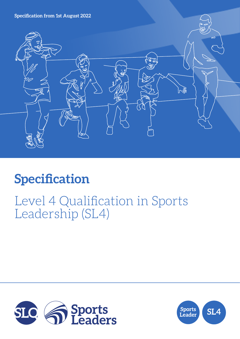**Specification from 1st August 2022**



# **Specification**

## Level 4 Qualification in Sports Leadership (SL4)



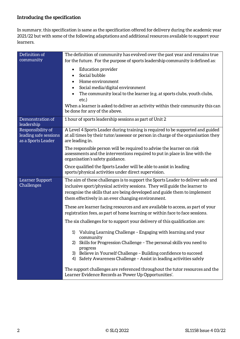## **Introducing the specification**

In summary, this specification is same as the specification offered for delivery during the academic year 2021/22 but with some of the following adaptations and additional resources available to support your learners.

| Definition of<br>community                                       | The definition of community has evolved over the past year and remains true                                                                                                                                                                                                                                      |  |  |
|------------------------------------------------------------------|------------------------------------------------------------------------------------------------------------------------------------------------------------------------------------------------------------------------------------------------------------------------------------------------------------------|--|--|
|                                                                  | for the future. For the purpose of sports leadership community is defined as:                                                                                                                                                                                                                                    |  |  |
|                                                                  | <b>Education provider</b><br>$\bullet$<br>Social bubble                                                                                                                                                                                                                                                          |  |  |
|                                                                  | Home environment                                                                                                                                                                                                                                                                                                 |  |  |
|                                                                  | Social media/digital environment                                                                                                                                                                                                                                                                                 |  |  |
|                                                                  | The community local to the learner (e.g. at sports clubs, youth clubs,<br>etc.)                                                                                                                                                                                                                                  |  |  |
|                                                                  | When a learner is asked to deliver an activity within their community this can<br>be done for any of the above.                                                                                                                                                                                                  |  |  |
| Demonstration of<br>leadership                                   | 1 hour of sports leadership sessions as part of Unit 2                                                                                                                                                                                                                                                           |  |  |
| Responsibility of<br>leading safe sessions<br>as a Sports Leader | A Level 4 Sports Leader during training is required to be supported and guided<br>at all times by their tutor/assessor or person in charge of the organisation they<br>are leading in.                                                                                                                           |  |  |
|                                                                  | The responsible person will be required to advise the learner on risk<br>assessments and the interventions required to put in place in line with the<br>organisation's safety guidance.                                                                                                                          |  |  |
|                                                                  | Once qualified the Sports Leader will be able to assist in leading<br>sports/physical activities under direct supervision.                                                                                                                                                                                       |  |  |
| Learner Support<br>Challenges                                    | The aim of these challenges is to support the Sports Leader to deliver safe and<br>inclusive sport/physical activity sessions. They will guide the learner to<br>recognise the skills that are being developed and guide them to implement<br>them effectively in an ever changing environment.                  |  |  |
|                                                                  | These are learner facing resources and are available to access, as part of your<br>registration fees, as part of home learning or within face to face sessions.                                                                                                                                                  |  |  |
|                                                                  | The six challenges for to support your delivery of this qualification are:                                                                                                                                                                                                                                       |  |  |
|                                                                  | 1) Valuing Learning Challenge - Engaging with learning and your<br>community<br>Skills for Progression Challenge - The personal skills you need to<br>2)<br>progress<br>3) Believe in Yourself Challenge - Building confidence to succeed<br>4) Safety Awareness Challenge - Assist in leading activities safely |  |  |
|                                                                  | The support challenges are referenced throughout the tutor resources and the<br>Learner Evidence Records as 'Power Up Opportunities'.                                                                                                                                                                            |  |  |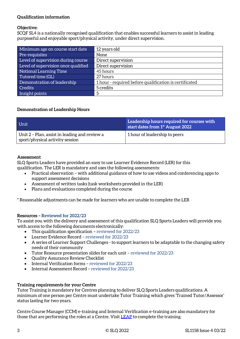#### **Qualification information**

#### **Objective:**

SCQF SL4 is a nationally recognised qualification that enables successful learners to assist in leading purposeful and enjoyable sport/physical activity, under direct supervision.

| Minimum age on course start date    | 12 years old                                           |
|-------------------------------------|--------------------------------------------------------|
| Pre-requisites                      | None                                                   |
| Level of supervision during course  | Direct supervision                                     |
| Level of supervision once qualified | Direct supervision                                     |
| Notional Learning Time              | 45 hours                                               |
| Tutored time (GL)                   | 27 hours                                               |
| Demonstration of leadership         | 1 hour - required before qualification is certificated |
| <b>Credits</b>                      | 5 credits                                              |
| Insight points                      |                                                        |

#### **Demonstration of Leadership Hours**

| Unit                                                                             | Leadership hours required for courses with<br>start dates from 1 <sup>st</sup> August 2022 |
|----------------------------------------------------------------------------------|--------------------------------------------------------------------------------------------|
| Unit 2 - Plan, assist in leading and review a<br>sport/physical activity session | 1 hour of leadership to peers                                                              |

#### **Assessment**

SLQ Sports Leaders have provided an easy to use Learner Evidence Record (LER) for this qualification. The LER is mandatory and uses the following assessments:

- Practical observation with additional guidance of how to use videos and conferencing apps to support assessment decisions
- Assessment of written tasks (task worksheets provided in the LER)
- Plans and evaluations completed during the course
- \* Reasonable adjustments can be made for learners who are unable to complete the LER

#### **Resources – Reviewed for 2022/23**

To assist you with the delivery and assessment of this qualification SLQ Sports Leaders will provide you with access to the following documents electronically:

- This qualification specification reviewed for 2022/23
- Learner Evidence Record reviewed for 2022/23
- A series of Learner Support Challenges to support learners to be adaptable to the changing safety needs of their community
- Tutor Resource presentation slides for each unit reviewed for 2022/23
- Quality Assurance Review Checklist
- Internal Verification forms reviewed for 2022/23
- Internal Assessment Record reviewed for 2022/23

#### **Training requirements for your Centre**

Tutor Training is mandatory for Centres planning to deliver SLQ Sports Leaders qualifications. A minimum of one person per Centre must undertake Tutor Training which gives 'Trained Tutor/Assessor' status lasting for two years.

Centre Course Manager (CCM) e-training and Internal Verification e-training are also mandatory for those that are performing the roles at a Centre. Visit [LEAP](https://leap.slqskills.org/training-menu/?def=1) to complete the training.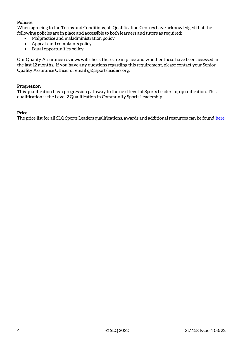#### **Policies**

When agreeing to the Terms and Conditions, all Qualification Centres have acknowledged that the following policies are in place and accessible to both learners and tutors as required:

- Malpractice and maladministration policy
- Appeals and complaints policy
- Equal opportunities policy

Our Quality Assurance reviews will check these are in place and whether these have been accessed in the last 12 months. If you have any questions regarding this requirement, please contact your Senior Quality Assurance Officer or email qa@sportsleaders.org.

#### **Progression**

This qualification has a progression pathway to the next level of Sports Leadership qualification. This qualification is the Level 2 Qualification in Community Sports Leadership.

#### **Price**

The price list for all SLQ Sports Leaders qualifications, awards and additional resources can be foun[d here](https://www.sportsleaders.org/about-us-1/prices)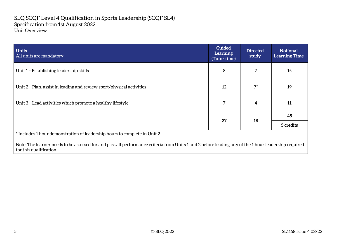#### SLQ SCQF Level 4 Qualification in Sports Leadership (SCQF SL4) Specification from 1st August 2022 Unit Overview

| <b>Units</b><br>All units are mandatory                                   | <b>Guided</b><br>Learning<br>(Tutor time) | <b>Directed</b><br>study | <b>Notional</b><br><b>Learning Time</b> |
|---------------------------------------------------------------------------|-------------------------------------------|--------------------------|-----------------------------------------|
| Unit 1 - Establishing leadership skills                                   | 8                                         |                          | 15                                      |
| Unit 2 - Plan, assist in leading and review sport/physical activities     | 12                                        | $7^*$                    | 19                                      |
| Unit 3 - Lead activities which promote a healthy lifestyle                | 7                                         | 4                        | 11                                      |
|                                                                           | 27                                        | 18                       | 45                                      |
|                                                                           |                                           |                          | 5 credits                               |
| * Includes 1 hour demonstration of leadership hours to complete in Unit 2 |                                           |                          |                                         |

Note: The learner needs to be assessed for and pass all performance criteria from Units 1 and 2 before leading any of the 1 hour leadership required for this qualification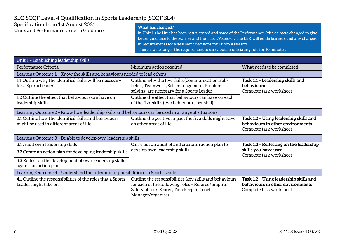### SLQ SCQF Level 4 Qualification in Sports Leadership (SCQF SL4)

#### Specification from 1st August 2021 Units and Performance Criteria Guidance

#### **What has changed?**

In Unit 1, the Unit has been restructured and some of the Performance Criteria have changed to give better guidance to the learner and the Tutor/Assessor. The LER will guide learners and any changes in requirements for assessment decisions for Tutor/Assessors.

There is a no longer the requirement to carry out an officiating role for 10 minutes.

| Unit 1 - Establishing leadership skills                                                                                                                   |                                                                                                                                                                                                                                                       |                                                                                                       |  |
|-----------------------------------------------------------------------------------------------------------------------------------------------------------|-------------------------------------------------------------------------------------------------------------------------------------------------------------------------------------------------------------------------------------------------------|-------------------------------------------------------------------------------------------------------|--|
| Performance Criteria                                                                                                                                      | Minimum action required                                                                                                                                                                                                                               | What needs to be completed                                                                            |  |
| Learning Outcome 1 - Know the skills and behaviours needed to lead others                                                                                 |                                                                                                                                                                                                                                                       |                                                                                                       |  |
| 1.1 Outline why the identified skills will be necessary<br>for a Sports Leader<br>1.2 Outline the effect that behaviours can have on<br>leadership skills | Outline why the five skills (Communication, Self-<br>belief, Teamwork, Self-management, Problem<br>solving) are necessary for a Sports Leader<br>Outline the effect that behaviours can have on each<br>of the five skills (two behaviours per skill) | Task 1.1 - Leadership skills and<br>behaviours<br>Complete task worksheet                             |  |
| Learning Outcome 2 - Know how leadership skills and behaviours can be used in a range of situations                                                       |                                                                                                                                                                                                                                                       |                                                                                                       |  |
| 2.1 Outline how the identified skills and behaviours<br>might be used in different areas of life                                                          | Outline the positive impact the five skills might have<br>on other areas of life                                                                                                                                                                      | Task 1.2 - Using leadership skills and<br>behaviours in other environments<br>Complete task worksheet |  |
| Learning Outcome 3 - Be able to develop own leadership skills                                                                                             |                                                                                                                                                                                                                                                       |                                                                                                       |  |
| 3.1 Audit own leadership skills                                                                                                                           | Carry out an audit of and create an action plan to                                                                                                                                                                                                    | Task 1.3 - Reflecting on the leadership<br>skills you have used<br>Complete task worksheet            |  |
| 3.2 Create an action plan for developing leadership skills                                                                                                | develop own leadership skills                                                                                                                                                                                                                         |                                                                                                       |  |
| 3.3 Reflect on the development of own leadership skills<br>against an action plan                                                                         |                                                                                                                                                                                                                                                       |                                                                                                       |  |
| Learning Outcome 4 - Understand the roles and responsibilities of a Sports Leader                                                                         |                                                                                                                                                                                                                                                       |                                                                                                       |  |
| 4.1 Outline the responsibilities of the roles that a Sports<br>Leader might take on                                                                       | Outline the responsibilities, key skills and behaviours<br>for each of the following roles - Referee/umpire,<br>Safety officer, Scorer, Timekeeper, Coach,<br>Manager/organiser                                                                       | Task 1.2 - Using leadership skills and<br>behaviours in other environments<br>Complete task worksheet |  |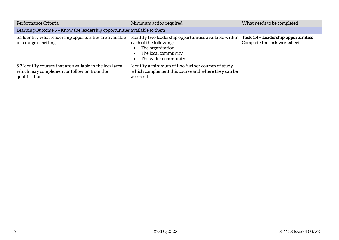| Performance Criteria                                                                                                     | Minimum action required                                                                                                                                                                  | What needs to be completed  |  |
|--------------------------------------------------------------------------------------------------------------------------|------------------------------------------------------------------------------------------------------------------------------------------------------------------------------------------|-----------------------------|--|
| Learning Outcome 5 - Know the leadership opportunities available to them                                                 |                                                                                                                                                                                          |                             |  |
| 5.1 Identify what leadership opportunities are available<br>in a range of settings                                       | Identify two leadership opportunities available within   Task 1.4 - Leadership opportunities<br>each of the following:<br>The organisation<br>The local community<br>The wider community | Complete the task worksheet |  |
| 5.2 Identify courses that are available in the local area<br>which may complement or follow on from the<br>qualification | Identify a minimum of two further courses of study<br>which complement this course and where they can be<br>accessed                                                                     |                             |  |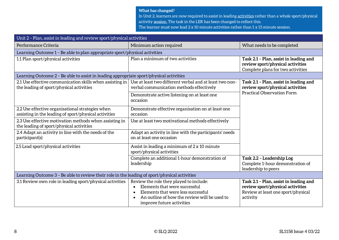#### **What has changed?**

In Unit 2, learners are now required to assist in leading activities rather than a whole sport/physical

- activity session. The task in the LER has been changed to reflect this.
- The learner must now lead 2 x 10 minute activities rather than 1 x 15 minute session.

| Unit 2 - Plan, assist in leading and review sport/physical activities                                     |                                                                                                                                                                                             |                                                                                                                              |  |
|-----------------------------------------------------------------------------------------------------------|---------------------------------------------------------------------------------------------------------------------------------------------------------------------------------------------|------------------------------------------------------------------------------------------------------------------------------|--|
| Performance Criteria                                                                                      | Minimum action required                                                                                                                                                                     | What needs to be completed                                                                                                   |  |
| Learning Outcome 1 - Be able to plan appropriate sport/physical activities                                |                                                                                                                                                                                             |                                                                                                                              |  |
| 1.1 Plan sport/physical activities                                                                        | Plan a minimum of two activities                                                                                                                                                            | Task 2.1 - Plan, assist in leading and<br>review sport/physical activities<br>Complete plans for two activities              |  |
| Learning Outcome 2 - Be able to assist in leading appropriate sport/physical activities                   |                                                                                                                                                                                             |                                                                                                                              |  |
| 2.1 Use effective communication skills when assisting in<br>the leading of sport/physical activities      | Use at least two different verbal and at least two non-<br>verbal communication methods effectively                                                                                         | Task 2.1 - Plan, assist in leading and<br>review sport/physical activities                                                   |  |
|                                                                                                           | Demonstrate active listening on at least one<br>occasion                                                                                                                                    | <b>Practical Observation Form</b>                                                                                            |  |
| 2.2 Use effective organisational strategies when<br>assisting in the leading of sport/physical activities | Demonstrate effective organisation on at least one<br>occasion                                                                                                                              |                                                                                                                              |  |
| 2.3 Use effective motivation methods when assisting in<br>the leading of sport/physical activities        | Use at least two motivational methods effectively                                                                                                                                           |                                                                                                                              |  |
| 2.4 Adapt an activity in line with the needs of the<br>participant(s)                                     | Adapt an activity in line with the participants' needs<br>on at least one occasion                                                                                                          |                                                                                                                              |  |
| 2.5 Lead sport/physical activities                                                                        | Assist in leading a minimum of 2 x 10 minute<br>sport/physical activities                                                                                                                   |                                                                                                                              |  |
|                                                                                                           | Complete an additional 1-hour demonstration of<br>leadership                                                                                                                                | Task 2.2 - Leadership Log<br>Complete 1-hour demonstration of<br>leadership to peers                                         |  |
| Learning Outcome 3 - Be able to review their role in the leading of sport/physical activities             |                                                                                                                                                                                             |                                                                                                                              |  |
| 3.1 Review own role in leading sport/physical activities                                                  | Review the role they played to include:<br>Elements that were successful<br>Elements that were less successful<br>An outline of how the review will be used to<br>improve future activities | Task 2.1 - Plan, assist in leading and<br>review sport/physical activities<br>Review at least one sport/physical<br>activity |  |